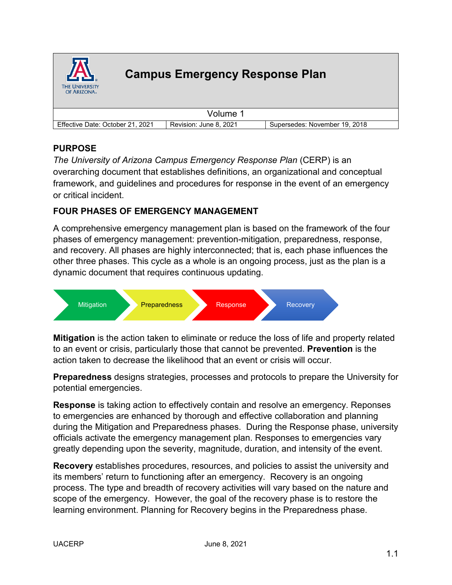

# **Campus Emergency Response Plan**

|                                  | Volume                 |                               |
|----------------------------------|------------------------|-------------------------------|
| Effective Date: October 21, 2021 | Revision: June 8, 2021 | Supersedes: November 19, 2018 |

### **PURPOSE**

*The University of Arizona Campus Emergency Response Plan* (CERP) is an overarching document that establishes definitions, an organizational and conceptual framework, and guidelines and procedures for response in the event of an emergency or critical incident.

### **FOUR PHASES OF EMERGENCY MANAGEMENT**

A comprehensive emergency management plan is based on the framework of the four phases of emergency management: prevention-mitigation, preparedness, response, and recovery. All phases are highly interconnected; that is, each phase influences the other three phases. This cycle as a whole is an ongoing process, just as the plan is a dynamic document that requires continuous updating.



**Mitigation** is the action taken to eliminate or reduce the loss of life and property related to an event or crisis, particularly those that cannot be prevented. **Prevention** is the action taken to decrease the likelihood that an event or crisis will occur.

**Preparedness** designs strategies, processes and protocols to prepare the University for potential emergencies.

**Response** is taking action to effectively contain and resolve an emergency. Reponses to emergencies are enhanced by thorough and effective collaboration and planning during the Mitigation and Preparedness phases. During the Response phase, university officials activate the emergency management plan. Responses to emergencies vary greatly depending upon the severity, magnitude, duration, and intensity of the event.

**Recovery** establishes procedures, resources, and policies to assist the university and its members' return to functioning after an emergency. Recovery is an ongoing process. The type and breadth of recovery activities will vary based on the nature and scope of the emergency. However, the goal of the recovery phase is to restore the learning environment. Planning for Recovery begins in the Preparedness phase.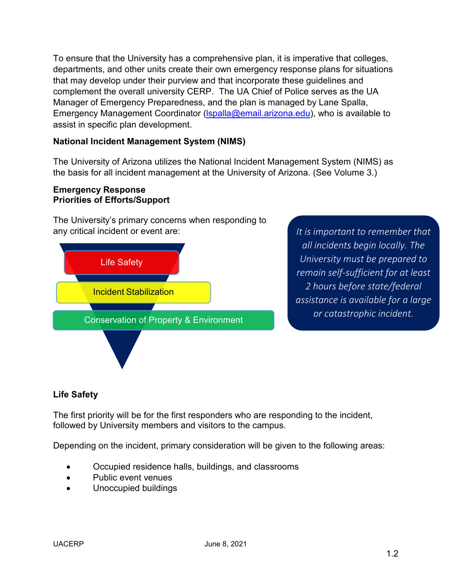To ensure that the University has a comprehensive plan, it is imperative that colleges, departments, and other units create their own emergency response plans for situations that may develop under their purview and that incorporate these guidelines and complement the overall university CERP. The UA Chief of Police serves as the UA Manager of Emergency Preparedness, and the plan is managed by Lane Spalla, Emergency Management Coordinator (Ispalla@email.arizona.edu), who is available to assist in specific plan development.

### **National Incident Management System (NIMS)**

The University of Arizona utilizes the National Incident Management System (NIMS) as the basis for all incident management at the University of Arizona. (See Volume 3.)

#### **Emergency Response Priorities of Efforts/Support**

The University's primary concerns when responding to any critical incident or event are:



*It is important to remember that all incidents begin locally. The University must be prepared to remain self-sufficient for at least 2 hours before state/federal assistance is available for a large or catastrophic incident.*

# **Life Safety**

The first priority will be for the first responders who are responding to the incident, followed by University members and visitors to the campus.

Depending on the incident, primary consideration will be given to the following areas:

- Occupied residence halls, buildings, and classrooms
- Public event venues
- Unoccupied buildings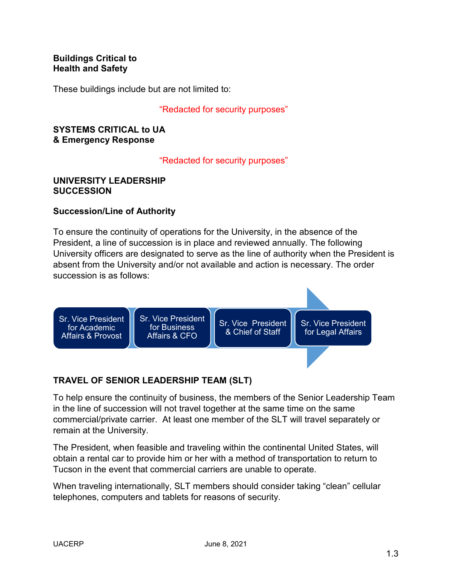### **Buildings Critical to Health and Safety**

These buildings include but are not limited to:

#### "Redacted for security purposes"

#### **SYSTEMS CRITICAL to UA & Emergency Response**

"Redacted for security purposes"

#### **UNIVERSITY LEADERSHIP SUCCESSION**

### **Succession/Line of Authority**

To ensure the continuity of operations for the University, in the absence of the President, a line of succession is in place and reviewed annually. The following University officers are designated to serve as the line of authority when the President is absent from the University and/or not available and action is necessary. The order succession is as follows:



# **TRAVEL OF SENIOR LEADERSHIP TEAM (SLT)**

To help ensure the continuity of business, the members of the Senior Leadership Team in the line of succession will not travel together at the same time on the same commercial/private carrier. At least one member of the SLT will travel separately or remain at the University.

The President, when feasible and traveling within the continental United States, will obtain a rental car to provide him or her with a method of transportation to return to Tucson in the event that commercial carriers are unable to operate.

When traveling internationally, SLT members should consider taking "clean" cellular telephones, computers and tablets for reasons of security.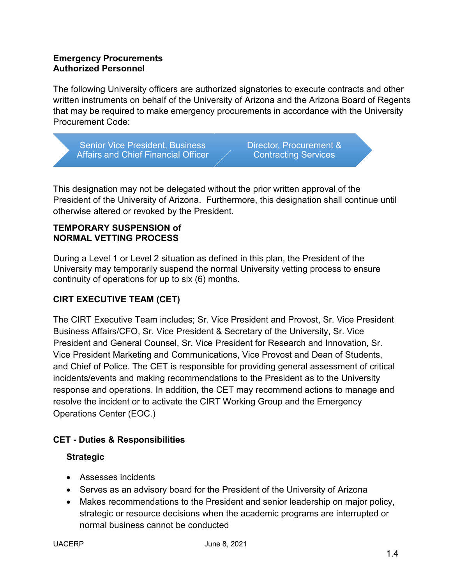### **Emergency Procurements Authorized Personnel**

The following University officers are authorized signatories to execute contracts and other written instruments on behalf of the University of Arizona and the Arizona Board of Regents that may be required to make emergency procurements in accordance with the University Procurement Code:

Senior Vice President, Business Affairs and Chief Financial Officer

Director, Procurement & Contracting Services

This designation may not be delegated without the prior written approval of the President of the University of Arizona. Furthermore, this designation shall continue until otherwise altered or revoked by the President.

### **TEMPORARY SUSPENSION of NORMAL VETTING PROCESS**

During a Level 1 or Level 2 situation as defined in this plan, the President of the University may temporarily suspend the normal University vetting process to ensure continuity of operations for up to six (6) months.

# **CIRT EXECUTIVE TEAM (CET)**

The CIRT Executive Team includes; Sr. Vice President and Provost, Sr. Vice President Business Affairs/CFO, Sr. Vice President & Secretary of the University, Sr. Vice President and General Counsel, Sr. Vice President for Research and Innovation, Sr. Vice President Marketing and Communications, Vice Provost and Dean of Students, and Chief of Police. The CET is responsible for providing general assessment of critical incidents/events and making recommendations to the President as to the University response and operations. In addition, the CET may recommend actions to manage and resolve the incident or to activate the CIRT Working Group and the Emergency Operations Center (EOC.)

# **CET - Duties & Responsibilities**

# **Strategic**

- Assesses incidents
- Serves as an advisory board for the President of the University of Arizona
- Makes recommendations to the President and senior leadership on major policy, strategic or resource decisions when the academic programs are interrupted or normal business cannot be conducted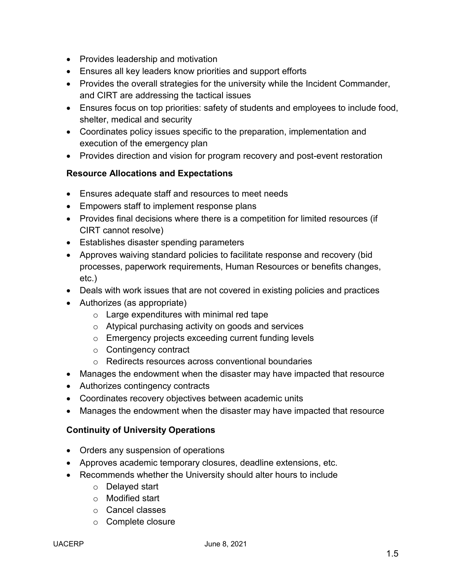- Provides leadership and motivation
- Ensures all key leaders know priorities and support efforts
- Provides the overall strategies for the university while the Incident Commander, and CIRT are addressing the tactical issues
- Ensures focus on top priorities: safety of students and employees to include food, shelter, medical and security
- Coordinates policy issues specific to the preparation, implementation and execution of the emergency plan
- Provides direction and vision for program recovery and post-event restoration

### **Resource Allocations and Expectations**

- Ensures adequate staff and resources to meet needs
- Empowers staff to implement response plans
- Provides final decisions where there is a competition for limited resources (if CIRT cannot resolve)
- Establishes disaster spending parameters
- Approves waiving standard policies to facilitate response and recovery (bid processes, paperwork requirements, Human Resources or benefits changes, etc.)
- Deals with work issues that are not covered in existing policies and practices
- Authorizes (as appropriate)
	- o Large expenditures with minimal red tape
	- o Atypical purchasing activity on goods and services
	- o Emergency projects exceeding current funding levels
	- o Contingency contract
	- o Redirects resources across conventional boundaries
- Manages the endowment when the disaster may have impacted that resource
- Authorizes contingency contracts
- Coordinates recovery objectives between academic units
- Manages the endowment when the disaster may have impacted that resource

### **Continuity of University Operations**

- Orders any suspension of operations
- Approves academic temporary closures, deadline extensions, etc.
- Recommends whether the University should alter hours to include
	- o Delayed start
	- o Modified start
	- o Cancel classes
	- o Complete closure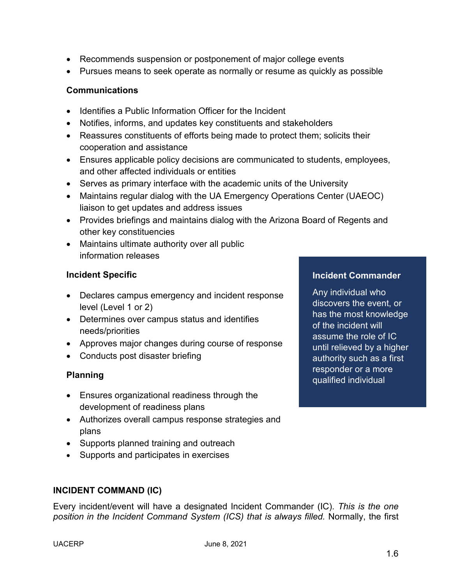- Recommends suspension or postponement of major college events
- Pursues means to seek operate as normally or resume as quickly as possible

### **Communications**

- Identifies a Public Information Officer for the Incident
- Notifies, informs, and updates key constituents and stakeholders
- Reassures constituents of efforts being made to protect them; solicits their cooperation and assistance
- Ensures applicable policy decisions are communicated to students, employees, and other affected individuals or entities
- Serves as primary interface with the academic units of the University
- Maintains regular dialog with the UA Emergency Operations Center (UAEOC) liaison to get updates and address issues
- Provides briefings and maintains dialog with the Arizona Board of Regents and other key constituencies
- Maintains ultimate authority over all public information releases

### **Incident Specific**

- Declares campus emergency and incident response level (Level 1 or 2)
- Determines over campus status and identifies needs/priorities
- Approves major changes during course of response
- Conducts post disaster briefing

### **Planning**

- Ensures organizational readiness through the development of readiness plans
- Authorizes overall campus response strategies and plans
- Supports planned training and outreach
- Supports and participates in exercises

### **INCIDENT COMMAND (IC)**

Every incident/event will have a designated Incident Commander (IC). *This is the one position in the Incident Command System (ICS) that is always filled.* Normally, the first

#### **Incident Commander**

Any individual who discovers the event, or has the most knowledge of the incident will assume the role of IC until relieved by a higher authority such as a first responder or a more qualified individual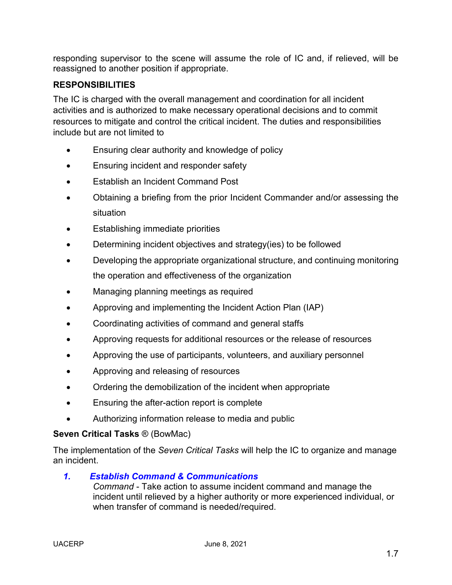responding supervisor to the scene will assume the role of IC and, if relieved, will be reassigned to another position if appropriate.

# **RESPONSIBILITIES**

The IC is charged with the overall management and coordination for all incident activities and is authorized to make necessary operational decisions and to commit resources to mitigate and control the critical incident. The duties and responsibilities include but are not limited to

- Ensuring clear authority and knowledge of policy
- Ensuring incident and responder safety
- Establish an Incident Command Post
- Obtaining a briefing from the prior Incident Commander and/or assessing the situation
- Establishing immediate priorities
- Determining incident objectives and strategy(ies) to be followed
- Developing the appropriate organizational structure, and continuing monitoring the operation and effectiveness of the organization
- Managing planning meetings as required
- Approving and implementing the Incident Action Plan (IAP)
- Coordinating activities of command and general staffs
- Approving requests for additional resources or the release of resources
- Approving the use of participants, volunteers, and auxiliary personnel
- Approving and releasing of resources
- Ordering the demobilization of the incident when appropriate
- Ensuring the after-action report is complete
- Authorizing information release to media and public

#### **Seven Critical Tasks** ® (BowMac)

The implementation of the *Seven Critical Tasks* will help the IC to organize and manage an incident.

*1. Establish Command & Communications*

*Command* - Take action to assume incident command and manage the incident until relieved by a higher authority or more experienced individual, or when transfer of command is needed/required.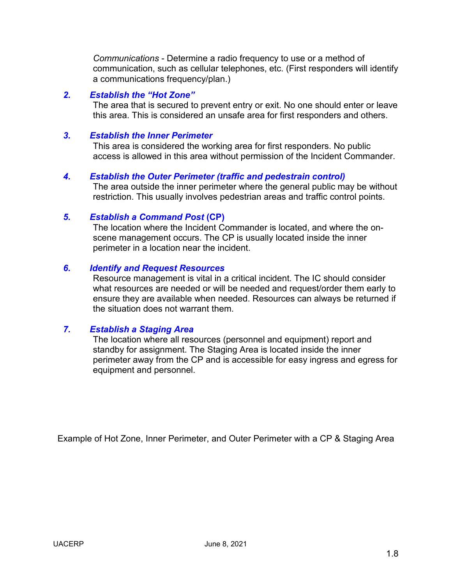*Communications* - Determine a radio frequency to use or a method of communication, such as cellular telephones, etc. (First responders will identify a communications frequency/plan.)

#### *2. Establish the "Hot Zone"*

The area that is secured to prevent entry or exit. No one should enter or leave this area. This is considered an unsafe area for first responders and others.

#### *3. Establish the Inner Perimeter*

This area is considered the working area for first responders. No public access is allowed in this area without permission of the Incident Commander.

#### *4. Establish the Outer Perimeter (traffic and pedestrain control)*

The area outside the inner perimeter where the general public may be without restriction. This usually involves pedestrian areas and traffic control points.

#### *5. Establish a Command Post* **(CP)**

The location where the Incident Commander is located, and where the onscene management occurs. The CP is usually located inside the inner perimeter in a location near the incident.

#### *6. Identify and Request Resources*

Resource management is vital in a critical incident. The IC should consider what resources are needed or will be needed and request/order them early to ensure they are available when needed. Resources can always be returned if the situation does not warrant them.

#### *7. Establish a Staging Area*

The location where all resources (personnel and equipment) report and standby for assignment. The Staging Area is located inside the inner perimeter away from the CP and is accessible for easy ingress and egress for equipment and personnel.

Example of Hot Zone, Inner Perimeter, and Outer Perimeter with a CP & Staging Area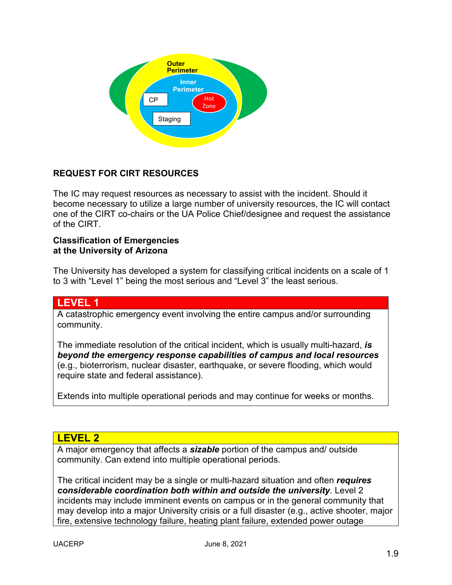

### **REQUEST FOR CIRT RESOURCES**

The IC may request resources as necessary to assist with the incident. Should it become necessary to utilize a large number of university resources, the IC will contact one of the CIRT co-chairs or the UA Police Chief/designee and request the assistance of the CIRT.

#### **Classification of Emergencies at the University of Arizona**

The University has developed a system for classifying critical incidents on a scale of 1 to 3 with "Level 1" being the most serious and "Level 3" the least serious.

### **LEVEL 1**

A catastrophic emergency event involving the entire campus and/or surrounding community.

The immediate resolution of the critical incident, which is usually multi-hazard, *is beyond the emergency response capabilities of campus and local resources* (e.g., bioterrorism, nuclear disaster, earthquake, or severe flooding, which would require state and federal assistance).

Extends into multiple operational periods and may continue for weeks or months.

### **LEVEL 2**

A major emergency that affects a *sizable* portion of the campus and/ outside community. Can extend into multiple operational periods.

The critical incident may be a single or multi-hazard situation and often *requires considerable coordination both within and outside the university*. Level 2 incidents may include imminent events on campus or in the general community that may develop into a major University crisis or a full disaster (e.g., active shooter, major fire, extensive technology failure, heating plant failure, extended power outage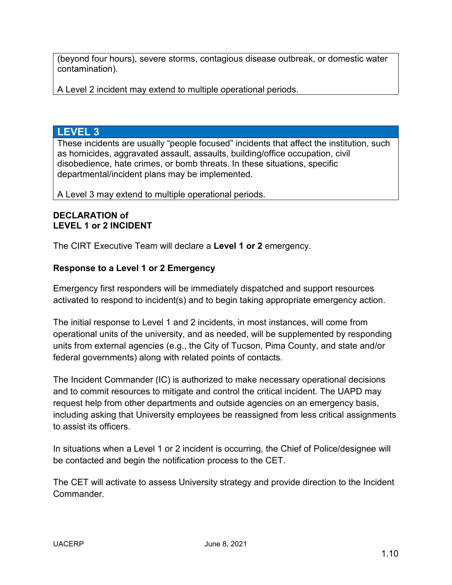(beyond four hours), severe storms, contagious disease outbreak, or domestic water contamination).

A Level 2 incident may extend to multiple operational periods.

### **LEVEL 3**

These incidents are usually "people focused" incidents that affect the institution, such as homicides, aggravated assault, assaults, building/office occupation, civil disobedience, hate crimes, or bomb threats. In these situations, specific departmental/incident plans may be implemented.

A Level 3 may extend to multiple operational periods.

### **DECLARATION of LEVEL 1 or 2 INCIDENT**

The CIRT Executive Team will declare a **Level 1 or 2** emergency.

### **Response to a Level 1 or 2 Emergency**

Emergency first responders will be immediately dispatched and support resources activated to respond to incident(s) and to begin taking appropriate emergency action.

The initial response to Level 1 and 2 incidents, in most instances, will come from operational units of the university, and as needed, will be supplemented by responding units from external agencies (e.g., the City of Tucson, Pima County, and state and/or federal governments) along with related points of contacts.

The Incident Commander (IC) is authorized to make necessary operational decisions and to commit resources to mitigate and control the critical incident. The UAPD may request help from other departments and outside agencies on an emergency basis, including asking that University employees be reassigned from less critical assignments to assist its officers.

In situations when a Level 1 or 2 incident is occurring, the Chief of Police/designee will be contacted and begin the notification process to the CET.

The CET will activate to assess University strategy and provide direction to the Incident Commander.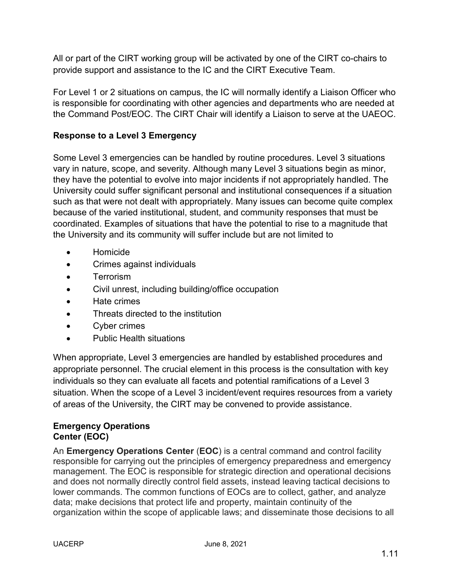All or part of the CIRT working group will be activated by one of the CIRT co-chairs to provide support and assistance to the IC and the CIRT Executive Team.

For Level 1 or 2 situations on campus, the IC will normally identify a Liaison Officer who is responsible for coordinating with other agencies and departments who are needed at the Command Post/EOC. The CIRT Chair will identify a Liaison to serve at the UAEOC.

### **Response to a Level 3 Emergency**

Some Level 3 emergencies can be handled by routine procedures. Level 3 situations vary in nature, scope, and severity. Although many Level 3 situations begin as minor, they have the potential to evolve into major incidents if not appropriately handled. The University could suffer significant personal and institutional consequences if a situation such as that were not dealt with appropriately. Many issues can become quite complex because of the varied institutional, student, and community responses that must be coordinated. Examples of situations that have the potential to rise to a magnitude that the University and its community will suffer include but are not limited to

- Homicide
- Crimes against individuals
- Terrorism
- Civil unrest, including building/office occupation
- Hate crimes
- Threats directed to the institution
- Cyber crimes
- Public Health situations

When appropriate, Level 3 emergencies are handled by established procedures and appropriate personnel. The crucial element in this process is the consultation with key individuals so they can evaluate all facets and potential ramifications of a Level 3 situation. When the scope of a Level 3 incident/event requires resources from a variety of areas of the University, the CIRT may be convened to provide assistance.

### **Emergency Operations Center (EOC)**

An **Emergency Operations Center** (**EOC**) is a central command and control facility responsible for carrying out the principles of emergency preparedness and emergency management. The EOC is responsible for strategic direction and operational decisions and does not normally directly control field assets, instead leaving tactical decisions to lower commands. The common functions of EOCs are to collect, gather, and analyze data; make decisions that protect life and property, maintain continuity of the organization within the scope of applicable laws; and disseminate those decisions to all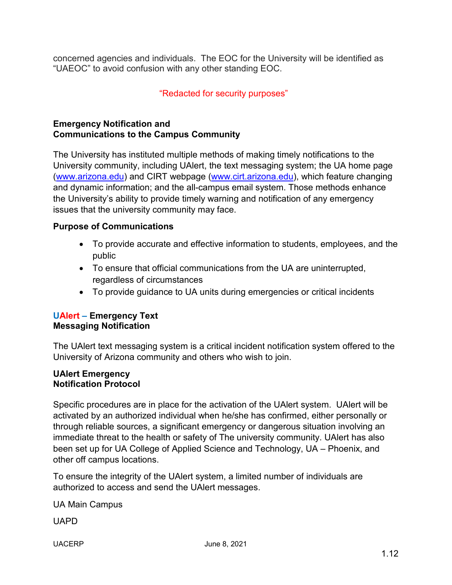concerned agencies and individuals. The EOC for the University will be identified as "UAEOC" to avoid confusion with any other standing EOC.

# "Redacted for security purposes"

### **Emergency Notification and Communications to the Campus Community**

The University has instituted multiple methods of making timely notifications to the University community, including UAlert, the text messaging system; the UA home page [\(www.arizona.edu\)](http://www.arizona.edu/) and CIRT webpage [\(www.cirt.arizona.edu\)](http://www.cirt.arizona.edu/), which feature changing and dynamic information; and the all-campus email system. Those methods enhance the University's ability to provide timely warning and notification of any emergency issues that the university community may face.

### **Purpose of Communications**

- To provide accurate and effective information to students, employees, and the public
- To ensure that official communications from the UA are uninterrupted, regardless of circumstances
- To provide guidance to UA units during emergencies or critical incidents

### **UAlert – Emergency Text Messaging Notification**

The UAlert text messaging system is a critical incident notification system offered to the University of Arizona community and others who wish to join.

#### **UAlert Emergency Notification Protocol**

Specific procedures are in place for the activation of the UAlert system. UAlert will be activated by an authorized individual when he/she has confirmed, either personally or through reliable sources, a significant emergency or dangerous situation involving an immediate threat to the health or safety of The university community. UAlert has also been set up for UA College of Applied Science and Technology, UA – Phoenix, and other off campus locations.

To ensure the integrity of the UAlert system, a limited number of individuals are authorized to access and send the UAlert messages.

UA Main Campus

UAPD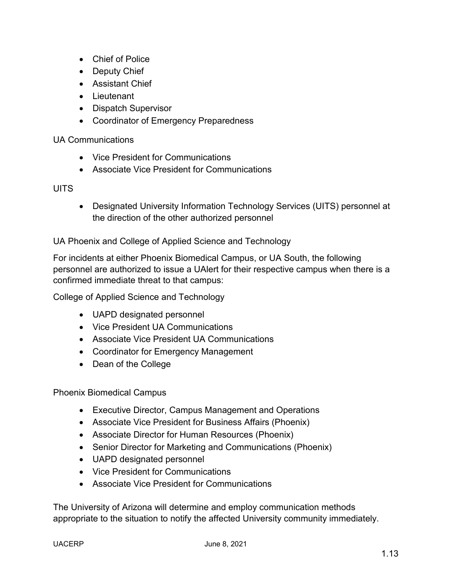- Chief of Police
- Deputy Chief
- Assistant Chief
- Lieutenant
- Dispatch Supervisor
- Coordinator of Emergency Preparedness

#### UA Communications

- Vice President for Communications
- Associate Vice President for Communications

### **UITS**

• Designated University Information Technology Services (UITS) personnel at the direction of the other authorized personnel

UA Phoenix and College of Applied Science and Technology

For incidents at either Phoenix Biomedical Campus, or UA South, the following personnel are authorized to issue a UAlert for their respective campus when there is a confirmed immediate threat to that campus:

College of Applied Science and Technology

- UAPD designated personnel
- Vice President UA Communications
- Associate Vice President UA Communications
- Coordinator for Emergency Management
- Dean of the College

Phoenix Biomedical Campus

- Executive Director, Campus Management and Operations
- Associate Vice President for Business Affairs (Phoenix)
- Associate Director for Human Resources (Phoenix)
- Senior Director for Marketing and Communications (Phoenix)
- UAPD designated personnel
- Vice President for Communications
- Associate Vice President for Communications

The University of Arizona will determine and employ communication methods appropriate to the situation to notify the affected University community immediately.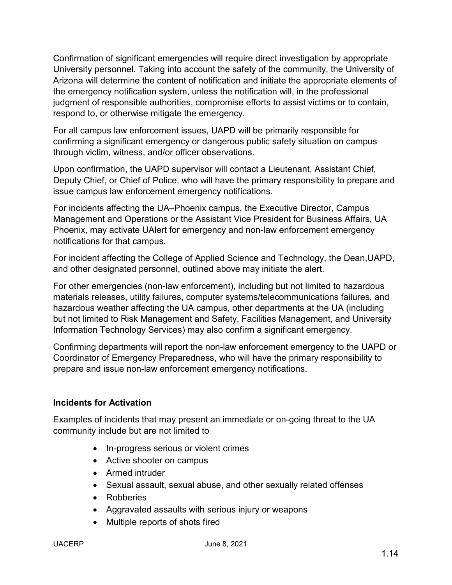Confirmation of significant emergencies will require direct investigation by appropriate University personnel. Taking into account the safety of the community, the University of Arizona will determine the content of notification and initiate the appropriate elements of the emergency notification system, unless the notification will, in the professional judgment of responsible authorities, compromise efforts to assist victims or to contain, respond to, or otherwise mitigate the emergency.

For all campus law enforcement issues, UAPD will be primarily responsible for confirming a significant emergency or dangerous public safety situation on campus through victim, witness, and/or officer observations.

Upon confirmation, the UAPD supervisor will contact a Lieutenant, Assistant Chief, Deputy Chief, or Chief of Police, who will have the primary responsibility to prepare and issue campus law enforcement emergency notifications.

For incidents affecting the UA–Phoenix campus, the Executive Director, Campus Management and Operations or the Assistant Vice President for Business Affairs, UA Phoenix, may activate UAlert for emergency and non-law enforcement emergency notifications for that campus.

For incident affecting the College of Applied Science and Technology, the Dean,UAPD, and other designated personnel, outlined above may initiate the alert.

For other emergencies (non-law enforcement), including but not limited to hazardous materials releases, utility failures, computer systems/telecommunications failures, and hazardous weather affecting the UA campus, other departments at the UA (including but not limited to Risk Management and Safety, Facilities Management, and University Information Technology Services) may also confirm a significant emergency.

Confirming departments will report the non-law enforcement emergency to the UAPD or Coordinator of Emergency Preparedness, who will have the primary responsibility to prepare and issue non-law enforcement emergency notifications.

### **Incidents for Activation**

Examples of incidents that may present an immediate or on-going threat to the UA community include but are not limited to

- In-progress serious or violent crimes
- Active shooter on campus
- Armed intruder
- Sexual assault, sexual abuse, and other sexually related offenses
- Robberies
- Aggravated assaults with serious injury or weapons
- Multiple reports of shots fired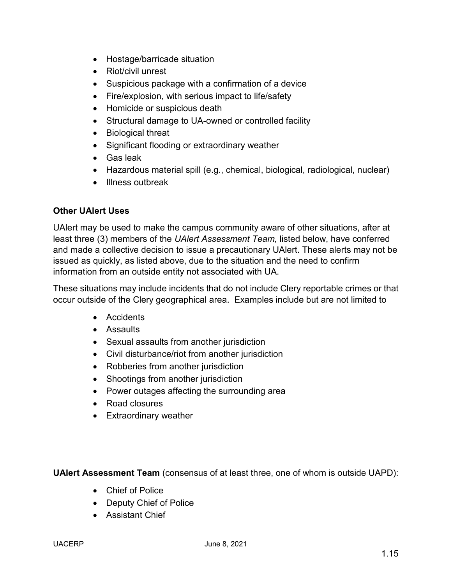- Hostage/barricade situation
- Riot/civil unrest
- Suspicious package with a confirmation of a device
- Fire/explosion, with serious impact to life/safety
- Homicide or suspicious death
- Structural damage to UA-owned or controlled facility
- Biological threat
- Significant flooding or extraordinary weather
- Gas leak
- Hazardous material spill (e.g., chemical, biological, radiological, nuclear)
- Illness outbreak

### **Other UAlert Uses**

UAlert may be used to make the campus community aware of other situations, after at least three (3) members of the *UAlert Assessment Team,* listed below, have conferred and made a collective decision to issue a precautionary UAlert. These alerts may not be issued as quickly, as listed above, due to the situation and the need to confirm information from an outside entity not associated with UA.

These situations may include incidents that do not include Clery reportable crimes or that occur outside of the Clery geographical area. Examples include but are not limited to

- Accidents
- Assaults
- Sexual assaults from another jurisdiction
- Civil disturbance/riot from another jurisdiction
- Robberies from another jurisdiction
- Shootings from another jurisdiction
- Power outages affecting the surrounding area
- Road closures
- Extraordinary weather

**UAlert Assessment Team** (consensus of at least three, one of whom is outside UAPD):

- Chief of Police
- Deputy Chief of Police
- Assistant Chief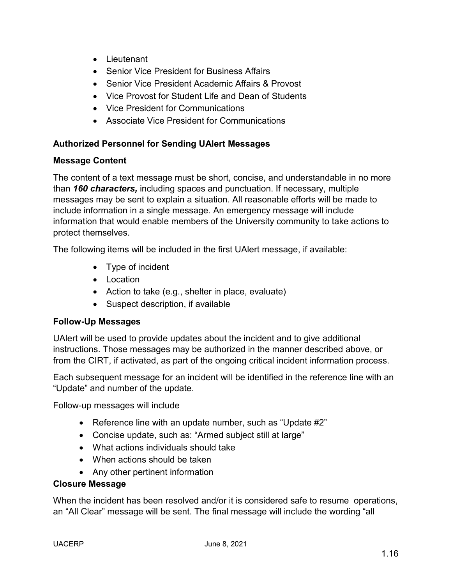- Lieutenant
- Senior Vice President for Business Affairs
- Senior Vice President Academic Affairs & Provost
- Vice Provost for Student Life and Dean of Students
- Vice President for Communications
- Associate Vice President for Communications

### **Authorized Personnel for Sending UAlert Messages**

### **Message Content**

The content of a text message must be short, concise, and understandable in no more than *160 characters,* including spaces and punctuation. If necessary, multiple messages may be sent to explain a situation. All reasonable efforts will be made to include information in a single message. An emergency message will include information that would enable members of the University community to take actions to protect themselves.

The following items will be included in the first UAlert message, if available:

- Type of incident
- Location
- Action to take (e.g., shelter in place, evaluate)
- Suspect description, if available

### **Follow-Up Messages**

UAlert will be used to provide updates about the incident and to give additional instructions. Those messages may be authorized in the manner described above, or from the CIRT, if activated, as part of the ongoing critical incident information process.

Each subsequent message for an incident will be identified in the reference line with an "Update" and number of the update.

Follow-up messages will include

- Reference line with an update number, such as "Update #2"
- Concise update, such as: "Armed subject still at large"
- What actions individuals should take
- When actions should be taken
- Any other pertinent information

### **Closure Message**

When the incident has been resolved and/or it is considered safe to resume operations, an "All Clear" message will be sent. The final message will include the wording "all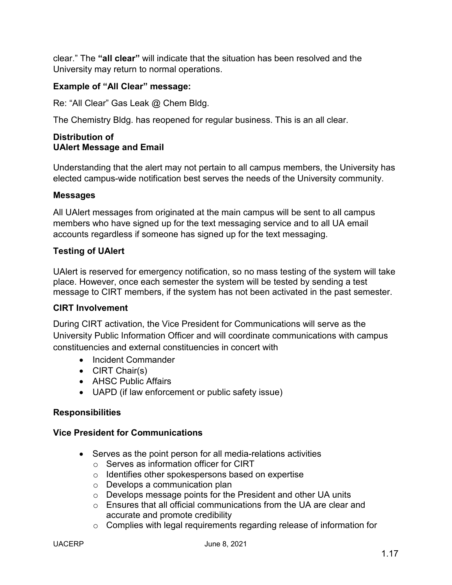clear." The **"all clear"** will indicate that the situation has been resolved and the University may return to normal operations.

### **Example of "All Clear" message:**

Re: "All Clear" Gas Leak @ Chem Bldg.

The Chemistry Bldg. has reopened for regular business. This is an all clear.

#### **Distribution of UAlert Message and Email**

Understanding that the alert may not pertain to all campus members, the University has elected campus-wide notification best serves the needs of the University community.

#### **Messages**

All UAlert messages from originated at the main campus will be sent to all campus members who have signed up for the text messaging service and to all UA email accounts regardless if someone has signed up for the text messaging.

#### **Testing of UAlert**

UAlert is reserved for emergency notification, so no mass testing of the system will take place. However, once each semester the system will be tested by sending a test message to CIRT members, if the system has not been activated in the past semester.

#### **CIRT Involvement**

During CIRT activation, the Vice President for Communications will serve as the University Public Information Officer and will coordinate communications with campus constituencies and external constituencies in concert with

- Incident Commander
- CIRT Chair(s)
- AHSC Public Affairs
- UAPD (if law enforcement or public safety issue)

#### **Responsibilities**

#### **Vice President for Communications**

- Serves as the point person for all media-relations activities
	- o Serves as information officer for CIRT
	- o Identifies other spokespersons based on expertise
	- o Develops a communication plan
	- o Develops message points for the President and other UA units
	- o Ensures that all official communications from the UA are clear and accurate and promote credibility
	- o Complies with legal requirements regarding release of information for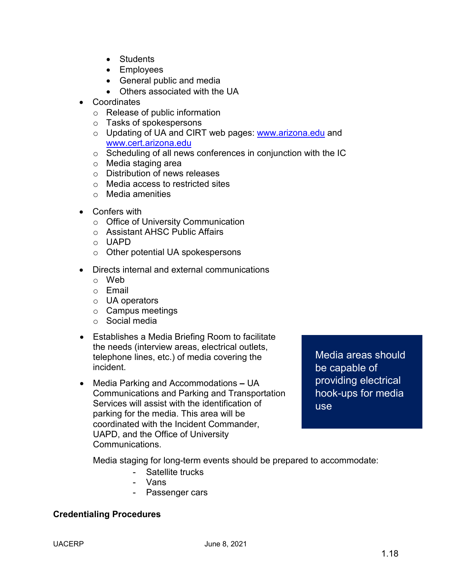- Students
- Employees
- General public and media
- Others associated with the UA
- Coordinates
	- o Release of public information
	- o Tasks of spokespersons
	- o Updating of UA and CIRT web pages: [www.arizona.edu](http://www.arizona.edu/) and [www.cert.arizona.edu](http://www.cert.arizona.edu/)
	- o Scheduling of all news conferences in conjunction with the IC
	- o Media staging area
	- o Distribution of news releases
	- o Media access to restricted sites
	- o Media amenities
- Confers with
	- o Office of University Communication
	- o Assistant AHSC Public Affairs
	- o UAPD
	- o Other potential UA spokespersons
- Directs internal and external communications
	- o Web
	- o Email
	- o UA operators
	- o Campus meetings
	- o Social media
- Establishes a Media Briefing Room to facilitate the needs (interview areas, electrical outlets, telephone lines, etc.) of media covering the incident.
- Media Parking and Accommodations **–** UA Communications and Parking and Transportation Services will assist with the identification of parking for the media. This area will be coordinated with the Incident Commander, UAPD, and the Office of University Communications.

Media areas should be capable of providing electrical hook-ups for media use

Media staging for long-term events should be prepared to accommodate:

- Satellite trucks
- Vans
- Passenger cars

#### **Credentialing Procedures**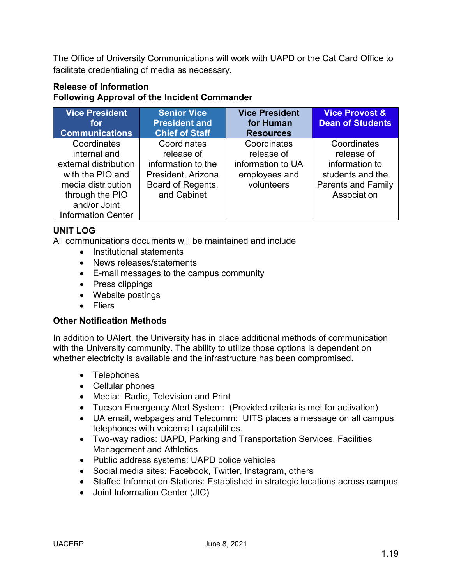The Office of University Communications will work with UAPD or the Cat Card Office to facilitate credentialing of media as necessary.

# **Release of Information Following Approval of the Incident Commander**

| <b>Vice President</b><br>for | <b>Senior Vice</b><br><b>President and</b> | <b>Vice President</b><br>for Human | <b>Vice Provost &amp;</b><br><b>Dean of Students</b> |
|------------------------------|--------------------------------------------|------------------------------------|------------------------------------------------------|
| <b>Communications</b>        | <b>Chief of Staff</b>                      | <b>Resources</b>                   |                                                      |
| Coordinates                  | Coordinates                                | Coordinates                        | Coordinates                                          |
| internal and                 | release of                                 | release of                         | release of                                           |
| external distribution        | information to the                         | information to UA                  | information to                                       |
| with the PIO and             | President, Arizona                         | employees and                      | students and the                                     |
| media distribution           | Board of Regents,                          | volunteers                         | <b>Parents and Family</b>                            |
| through the PIO              | and Cabinet                                |                                    | Association                                          |
| and/or Joint                 |                                            |                                    |                                                      |
| <b>Information Center</b>    |                                            |                                    |                                                      |

# **UNIT LOG**

All communications documents will be maintained and include

- Institutional statements
- News releases/statements
- E-mail messages to the campus community
- Press clippings
- Website postings
- Fliers

### **Other Notification Methods**

In addition to UAlert, the University has in place additional methods of communication with the University community. The ability to utilize those options is dependent on whether electricity is available and the infrastructure has been compromised.

- Telephones
- Cellular phones
- Media: Radio, Television and Print
- Tucson Emergency Alert System: (Provided criteria is met for activation)
- UA email, webpages and Telecomm: UITS places a message on all campus telephones with voicemail capabilities.
- Two-way radios: UAPD, Parking and Transportation Services, Facilities Management and Athletics
- Public address systems: UAPD police vehicles
- Social media sites: Facebook, Twitter, Instagram, others
- Staffed Information Stations: Established in strategic locations across campus
- Joint Information Center (JIC)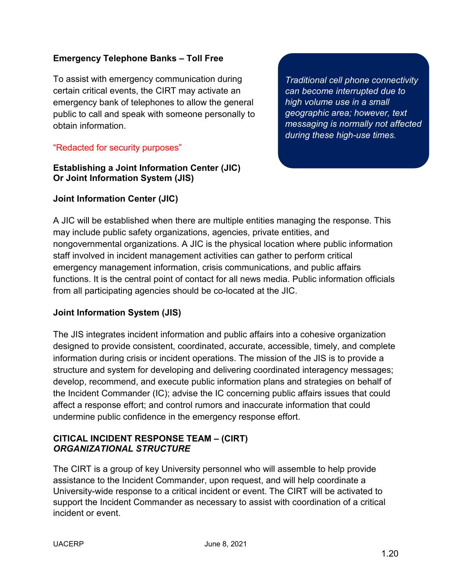### **Emergency Telephone Banks – Toll Free**

To assist with emergency communication during certain critical events, the CIRT may activate an emergency bank of telephones to allow the general public to call and speak with someone personally to obtain information.

### "Redacted for security purposes"

### **Establishing a Joint Information Center (JIC) Or Joint Information System (JIS)**

**Joint Information Center (JIC)**

*Traditional cell phone connectivity can become interrupted due to high volume use in a small geographic area; however, text messaging is normally not affected during these high-use times.*

A JIC will be established when there are multiple entities managing the response. This may include public safety organizations, agencies, private entities, and nongovernmental organizations. A JIC is the physical location where public information staff involved in incident management activities can gather to perform critical emergency management information, crisis communications, and public affairs functions. It is the central point of contact for all news media. Public information officials from all participating agencies should be co-located at the JIC.

### **Joint Information System (JIS)**

The JIS integrates incident information and public affairs into a cohesive organization designed to provide consistent, coordinated, accurate, accessible, timely, and complete information during crisis or incident operations. The mission of the JIS is to provide a structure and system for developing and delivering coordinated interagency messages; develop, recommend, and execute public information plans and strategies on behalf of the Incident Commander (IC); advise the IC concerning public affairs issues that could affect a response effort; and control rumors and inaccurate information that could undermine public confidence in the emergency response effort.

### **CITICAL INCIDENT RESPONSE TEAM – (CIRT)** *ORGANIZATIONAL STRUCTURE*

The CIRT is a group of key University personnel who will assemble to help provide assistance to the Incident Commander, upon request, and will help coordinate a University-wide response to a critical incident or event. The CIRT will be activated to support the Incident Commander as necessary to assist with coordination of a critical incident or event.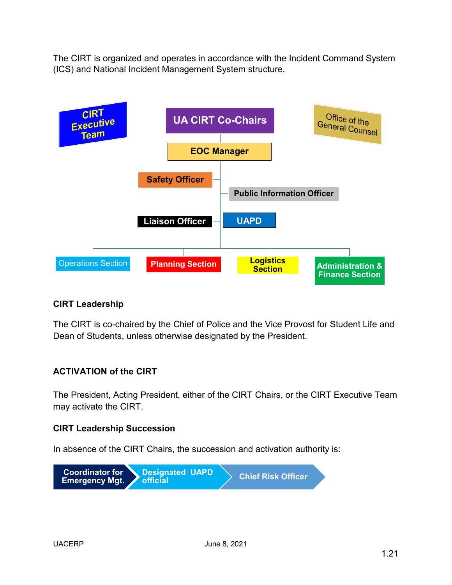The CIRT is organized and operates in accordance with the Incident Command System (ICS) and National Incident Management System structure.



### **CIRT Leadership**

The CIRT is co-chaired by the Chief of Police and the Vice Provost for Student Life and Dean of Students, unless otherwise designated by the President.

### **ACTIVATION of the CIRT**

The President, Acting President, either of the CIRT Chairs, or the CIRT Executive Team may activate the CIRT.

### **CIRT Leadership Succession**

In absence of the CIRT Chairs, the succession and activation authority is:

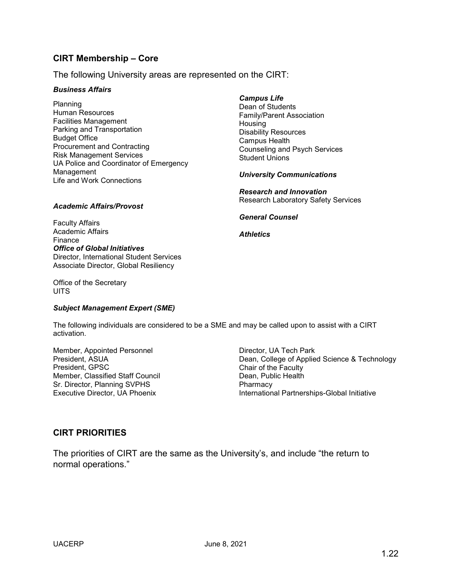#### **CIRT Membership – Core**

The following University areas are represented on the CIRT:

#### *Business Affairs*

Planning Human Resources Facilities Management Parking and Transportation Budget Office Procurement and Contracting Risk Management Services UA Police and Coordinator of Emergency Management Life and Work Connections

#### *Campus Life*

Dean of Students Family/Parent Association **Housing** Disability Resources Campus Health Counseling and Psych Services Student Unions

*University Communications*

*General Counsel*

*Athletics*

*Research and Innovation* Research Laboratory Safety Services

#### *Academic Affairs/Provost*

Faculty Affairs Academic Affairs Finance *Office of Global Initiatives* Director, International Student Services Associate Director, Global Resiliency

Office of the Secretary **UITS** 

*Subject Management Expert (SME)*

The following individuals are considered to be a SME and may be called upon to assist with a CIRT activation.

Member, Appointed Personnel President, ASUA President, GPSC Member, Classified Staff Council Sr. Director, Planning SVPHS Executive Director, UA Phoenix

Director, UA Tech Park Dean, College of Applied Science & Technology Chair of the Faculty Dean, Public Health **Pharmacy** International Partnerships-Global Initiative

#### **CIRT PRIORITIES**

The priorities of CIRT are the same as the University's, and include "the return to normal operations."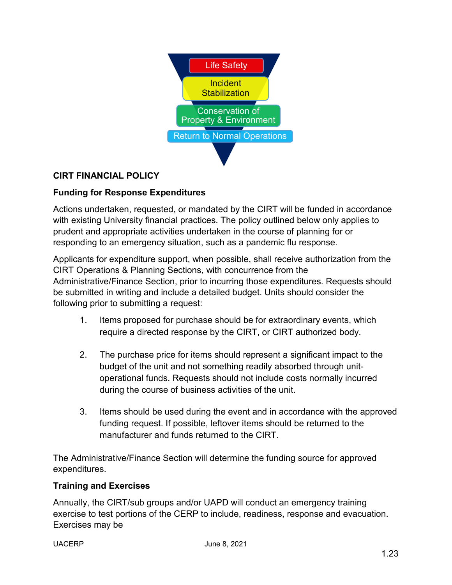

# **CIRT FINANCIAL POLICY**

### **Funding for Response Expenditures**

Actions undertaken, requested, or mandated by the CIRT will be funded in accordance with existing University financial practices. The policy outlined below only applies to prudent and appropriate activities undertaken in the course of planning for or responding to an emergency situation, such as a pandemic flu response.

Applicants for expenditure support, when possible, shall receive authorization from the CIRT Operations & Planning Sections, with concurrence from the Administrative/Finance Section, prior to incurring those expenditures. Requests should be submitted in writing and include a detailed budget. Units should consider the following prior to submitting a request:

- 1. Items proposed for purchase should be for extraordinary events, which require a directed response by the CIRT, or CIRT authorized body.
- 2. The purchase price for items should represent a significant impact to the budget of the unit and not something readily absorbed through unitoperational funds. Requests should not include costs normally incurred during the course of business activities of the unit.
- 3. Items should be used during the event and in accordance with the approved funding request. If possible, leftover items should be returned to the manufacturer and funds returned to the CIRT.

The Administrative/Finance Section will determine the funding source for approved expenditures.

#### **Training and Exercises**

Annually, the CIRT/sub groups and/or UAPD will conduct an emergency training exercise to test portions of the CERP to include, readiness, response and evacuation. Exercises may be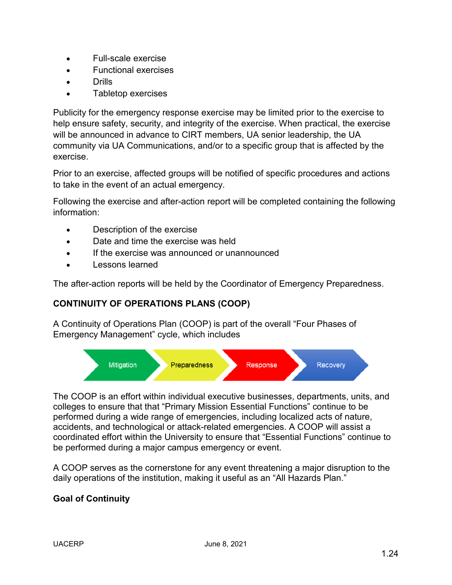- Full-scale exercise
- Functional exercises
- Drills
- Tabletop exercises

Publicity for the emergency response exercise may be limited prior to the exercise to help ensure safety, security, and integrity of the exercise. When practical, the exercise will be announced in advance to CIRT members, UA senior leadership, the UA community via UA Communications, and/or to a specific group that is affected by the exercise.

Prior to an exercise, affected groups will be notified of specific procedures and actions to take in the event of an actual emergency.

Following the exercise and after-action report will be completed containing the following information:

- Description of the exercise
- Date and time the exercise was held
- If the exercise was announced or unannounced
- Lessons learned

The after-action reports will be held by the Coordinator of Emergency Preparedness.

### **CONTINUITY OF OPERATIONS PLANS (COOP)**

A Continuity of Operations Plan (COOP) is part of the overall "Four Phases of Emergency Management" cycle, which includes



The COOP is an effort within individual executive businesses, departments, units, and colleges to ensure that that "Primary Mission Essential Functions" continue to be performed during a wide range of emergencies, including localized acts of nature, accidents, and technological or attack-related emergencies. A COOP will assist a coordinated effort within the University to ensure that "Essential Functions" continue to be performed during a major campus emergency or event.

A COOP serves as the cornerstone for any event threatening a major disruption to the daily operations of the institution, making it useful as an "All Hazards Plan."

### **Goal of Continuity**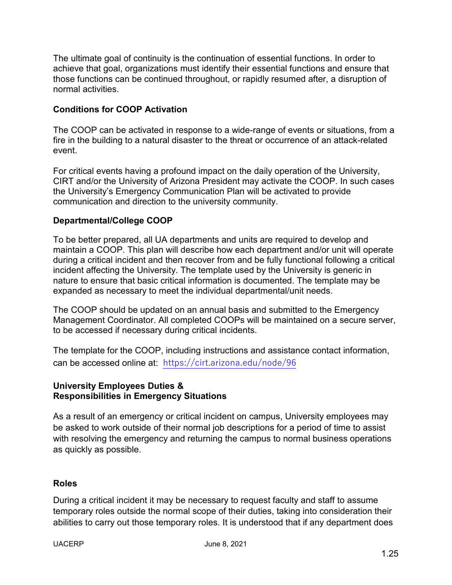The ultimate goal of continuity is the continuation of essential functions. In order to achieve that goal, organizations must identify their essential functions and ensure that those functions can be continued throughout, or rapidly resumed after, a disruption of normal activities.

### **Conditions for COOP Activation**

The COOP can be activated in response to a wide-range of events or situations, from a fire in the building to a natural disaster to the threat or occurrence of an attack-related event.

For critical events having a profound impact on the daily operation of the University, CIRT and/or the University of Arizona President may activate the COOP. In such cases the University's Emergency Communication Plan will be activated to provide communication and direction to the university community.

#### **Departmental/College COOP**

To be better prepared, all UA departments and units are required to develop and maintain a COOP. This plan will describe how each department and/or unit will operate during a critical incident and then recover from and be fully functional following a critical incident affecting the University. The template used by the University is generic in nature to ensure that basic critical information is documented. The template may be expanded as necessary to meet the individual departmental/unit needs.

The COOP should be updated on an annual basis and submitted to the Emergency Management Coordinator. All completed COOPs will be maintained on a secure server, to be accessed if necessary during critical incidents.

The template for the COOP, including instructions and assistance contact information, can be accessed online at: <https://cirt.arizona.edu/node/96>

### **University Employees Duties & Responsibilities in Emergency Situations**

As a result of an emergency or critical incident on campus, University employees may be asked to work outside of their normal job descriptions for a period of time to assist with resolving the emergency and returning the campus to normal business operations as quickly as possible.

#### **Roles**

During a critical incident it may be necessary to request faculty and staff to assume temporary roles outside the normal scope of their duties, taking into consideration their abilities to carry out those temporary roles. It is understood that if any department does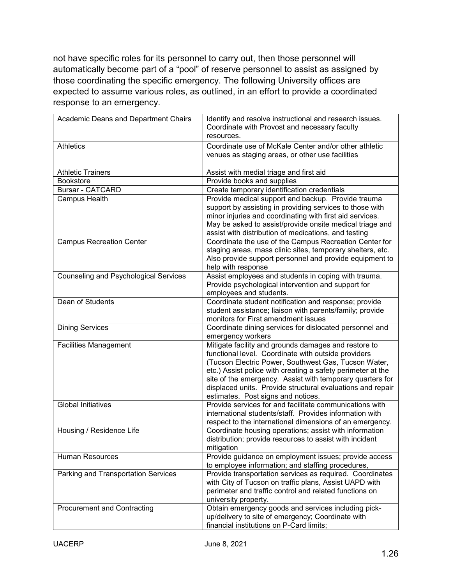not have specific roles for its personnel to carry out, then those personnel will automatically become part of a "pool" of reserve personnel to assist as assigned by those coordinating the specific emergency. The following University offices are expected to assume various roles, as outlined, in an effort to provide a coordinated response to an emergency.

| Academic Deans and Department Chairs         | Identify and resolve instructional and research issues.<br>Coordinate with Provost and necessary faculty  |
|----------------------------------------------|-----------------------------------------------------------------------------------------------------------|
|                                              | resources.                                                                                                |
| Athletics                                    | Coordinate use of McKale Center and/or other athletic<br>venues as staging areas, or other use facilities |
| <b>Athletic Trainers</b>                     | Assist with medial triage and first aid                                                                   |
| Bookstore                                    | Provide books and supplies                                                                                |
| <b>Bursar - CATCARD</b>                      | Create temporary identification credentials                                                               |
| Campus Health                                | Provide medical support and backup. Provide trauma                                                        |
|                                              | support by assisting in providing services to those with                                                  |
|                                              | minor injuries and coordinating with first aid services.                                                  |
|                                              | May be asked to assist/provide onsite medical triage and                                                  |
|                                              | assist with distribution of medications, and testing                                                      |
| <b>Campus Recreation Center</b>              | Coordinate the use of the Campus Recreation Center for                                                    |
|                                              | staging areas, mass clinic sites, temporary shelters, etc.                                                |
|                                              | Also provide support personnel and provide equipment to                                                   |
|                                              | help with response                                                                                        |
| <b>Counseling and Psychological Services</b> | Assist employees and students in coping with trauma.                                                      |
|                                              | Provide psychological intervention and support for                                                        |
|                                              | employees and students.                                                                                   |
| Dean of Students                             | Coordinate student notification and response; provide                                                     |
|                                              | student assistance; liaison with parents/family; provide<br>monitors for First amendment issues           |
| <b>Dining Services</b>                       | Coordinate dining services for dislocated personnel and                                                   |
|                                              | emergency workers                                                                                         |
| <b>Facilities Management</b>                 | Mitigate facility and grounds damages and restore to                                                      |
|                                              | functional level. Coordinate with outside providers                                                       |
|                                              | (Tucson Electric Power, Southwest Gas, Tucson Water,                                                      |
|                                              | etc.) Assist police with creating a safety perimeter at the                                               |
|                                              | site of the emergency. Assist with temporary quarters for                                                 |
|                                              | displaced units. Provide structural evaluations and repair                                                |
|                                              | estimates. Post signs and notices.                                                                        |
| <b>Global Initiatives</b>                    | Provide services for and facilitate communications with                                                   |
|                                              | international students/staff. Provides information with                                                   |
|                                              | respect to the international dimensions of an emergency.                                                  |
| Housing / Residence Life                     | Coordinate housing operations; assist with information                                                    |
|                                              | distribution; provide resources to assist with incident                                                   |
|                                              | mitigation                                                                                                |
| <b>Human Resources</b>                       | Provide guidance on employment issues; provide access                                                     |
|                                              | to employee information; and staffing procedures,                                                         |
| Parking and Transportation Services          | Provide transportation services as required. Coordinates                                                  |
|                                              | with City of Tucson on traffic plans, Assist UAPD with                                                    |
|                                              | perimeter and traffic control and related functions on                                                    |
|                                              |                                                                                                           |
|                                              | university property.                                                                                      |
| <b>Procurement and Contracting</b>           | Obtain emergency goods and services including pick-                                                       |
|                                              | up/delivery to site of emergency; Coordinate with<br>financial institutions on P-Card limits;             |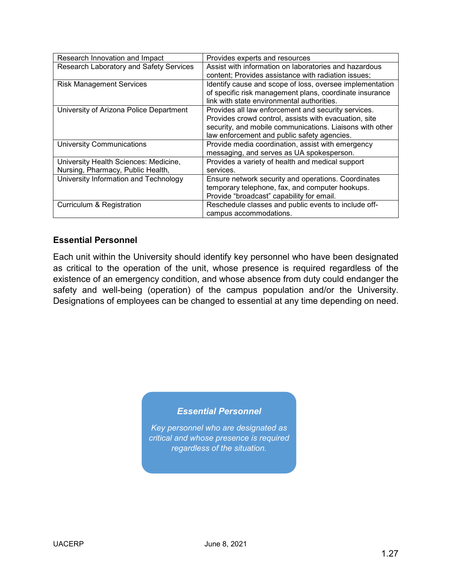| Research Innovation and Impact          | Provides experts and resources                           |
|-----------------------------------------|----------------------------------------------------------|
| Research Laboratory and Safety Services | Assist with information on laboratories and hazardous    |
|                                         | content; Provides assistance with radiation issues;      |
| <b>Risk Management Services</b>         | Identify cause and scope of loss, oversee implementation |
|                                         | of specific risk management plans, coordinate insurance  |
|                                         | link with state environmental authorities.               |
| University of Arizona Police Department | Provides all law enforcement and security services.      |
|                                         | Provides crowd control, assists with evacuation, site    |
|                                         | security, and mobile communications. Liaisons with other |
|                                         | law enforcement and public safety agencies.              |
| <b>University Communications</b>        | Provide media coordination, assist with emergency        |
|                                         | messaging, and serves as UA spokesperson.                |
| University Health Sciences: Medicine,   | Provides a variety of health and medical support         |
| Nursing, Pharmacy, Public Health,       | services.                                                |
| University Information and Technology   | Ensure network security and operations. Coordinates      |
|                                         | temporary telephone, fax, and computer hookups.          |
|                                         | Provide "broadcast" capability for email.                |
| Curriculum & Registration               | Reschedule classes and public events to include off-     |
|                                         | campus accommodations.                                   |

### **Essential Personnel**

Each unit within the University should identify key personnel who have been designated as critical to the operation of the unit, whose presence is required regardless of the existence of an emergency condition, and whose absence from duty could endanger the safety and well-being (operation) of the campus population and/or the University. Designations of employees can be changed to essential at any time depending on need.

### *Essential Personnel*

*Key personnel who are designated as critical and whose presence is required regardless of the situation.*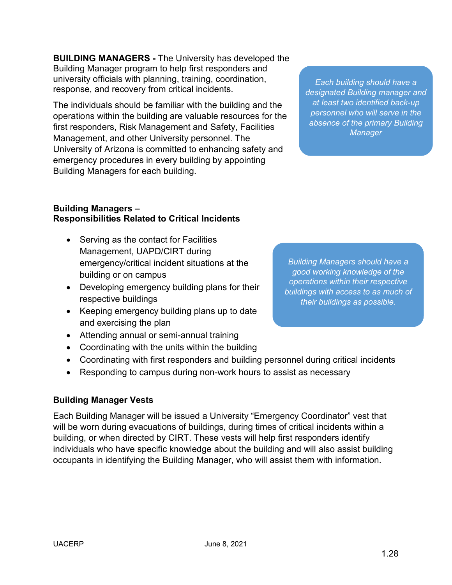**BUILDING MANAGERS -** The University has developed the Building Manager program to help first responders and university officials with planning, training, coordination, response, and recovery from critical incidents.

The individuals should be familiar with the building and the operations within the building are valuable resources for the first responders, Risk Management and Safety, Facilities Management, and other University personnel. The University of Arizona is committed to enhancing safety and emergency procedures in every building by appointing Building Managers for each building.

*Each building should have a designated Building manager and at least two identified back-up personnel who will serve in the absence of the primary Building Manager*

#### **Building Managers – Responsibilities Related to Critical Incidents**

- Serving as the contact for Facilities Management, UAPD/CIRT during emergency/critical incident situations at the building or on campus
- Developing emergency building plans for their respective buildings
- Keeping emergency building plans up to date and exercising the plan
- Attending annual or semi-annual training
- Coordinating with the units within the building
- Coordinating with first responders and building personnel during critical incidents
- Responding to campus during non-work hours to assist as necessary

### **Building Manager Vests**

Each Building Manager will be issued a University "Emergency Coordinator" vest that will be worn during evacuations of buildings, during times of critical incidents within a building, or when directed by CIRT. These vests will help first responders identify individuals who have specific knowledge about the building and will also assist building occupants in identifying the Building Manager, who will assist them with information.

*Building Managers should have a good working knowledge of the operations within their respective buildings with access to as much of their buildings as possible.*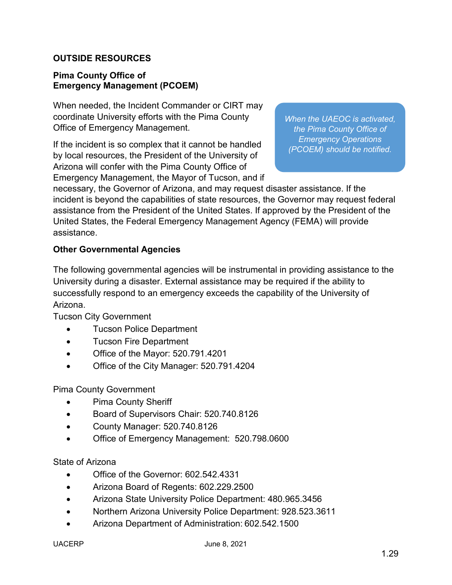### **OUTSIDE RESOURCES**

#### **Pima County Office of Emergency Management (PCOEM)**

When needed, the Incident Commander or CIRT may coordinate University efforts with the Pima County Office of Emergency Management.

If the incident is so complex that it cannot be handled by local resources, the President of the University of Arizona will confer with the Pima County Office of Emergency Management, the Mayor of Tucson, and if *When the UAEOC is activated, the Pima County Office of Emergency Operations (PCOEM) should be notified.*

necessary, the Governor of Arizona, and may request disaster assistance. If the incident is beyond the capabilities of state resources, the Governor may request federal assistance from the President of the United States. If approved by the President of the United States, the Federal Emergency Management Agency (FEMA) will provide assistance.

#### **Other Governmental Agencies**

The following governmental agencies will be instrumental in providing assistance to the University during a disaster. External assistance may be required if the ability to successfully respond to an emergency exceeds the capability of the University of Arizona.

Tucson City Government

- Tucson Police Department
- Tucson Fire Department
- Office of the Mayor: 520.791.4201
- Office of the City Manager: 520.791.4204

Pima County Government

- Pima County Sheriff
- Board of Supervisors Chair: 520.740.8126
- County Manager: 520.740.8126
- Office of Emergency Management: 520.798.0600

State of Arizona

- Office of the Governor: 602.542.4331
- Arizona Board of Regents: 602.229.2500
- Arizona State University Police Department: 480.965.3456
- Northern Arizona University Police Department: 928.523.3611
- Arizona Department of Administration: 602.542.1500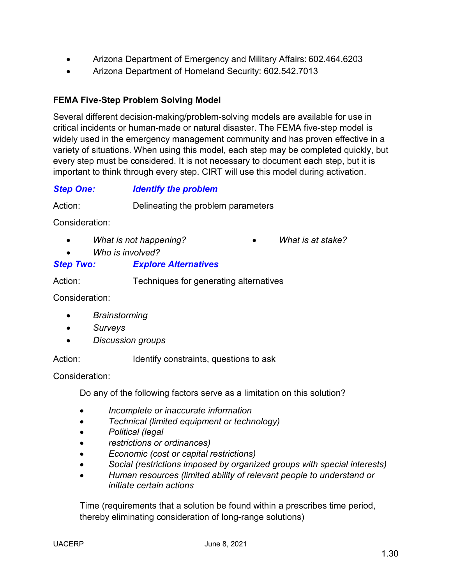- Arizona Department of Emergency and Military Affairs: 602.464.6203
- Arizona Department of Homeland Security: 602.542.7013

### **FEMA Five-Step Problem Solving Model**

Several different decision-making/problem-solving models are available for use in critical incidents or human-made or natural disaster. The FEMA five-step model is widely used in the emergency management community and has proven effective in a variety of situations. When using this model, each step may be completed quickly, but every step must be considered. It is not necessary to document each step, but it is important to think through every step. CIRT will use this model during activation.

### *Step One: Identify the problem*

Action: Delineating the problem parameters

Consideration:

• *What is not happening?*

• *What is at stake?*

• *Who is involved?*

### *Step Two: Explore Alternatives*

Action: Techniques for generating alternatives

Consideration:

- *Brainstorming*
- *Surveys*
- *Discussion groups*

Action: Identify constraints, questions to ask

Consideration:

Do any of the following factors serve as a limitation on this solution?

- *Incomplete or inaccurate information*
- *Technical (limited equipment or technology)*
- *Political (legal*
- *restrictions or ordinances)*
- *Economic (cost or capital restrictions)*
- *Social (restrictions imposed by organized groups with special interests)*
- *Human resources (limited ability of relevant people to understand or initiate certain actions*

Time (requirements that a solution be found within a prescribes time period, thereby eliminating consideration of long-range solutions)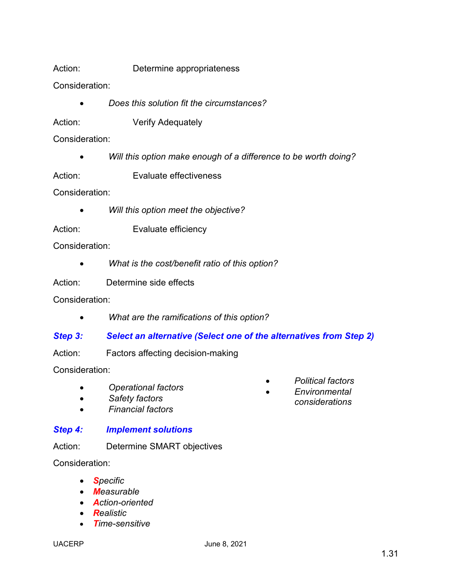Action: Determine appropriateness

Consideration:

- *Does this solution fit the circumstances?*
- Action: **Verify Adequately**

Consideration:

• *Will this option make enough of a difference to be worth doing?*

Action: Evaluate effectiveness

Consideration:

- *Will this option meet the objective?*
- Action: Evaluate efficiency

Consideration:

• *What is the cost/benefit ratio of this option?*

Action: Determine side effects

Consideration:

• *What are the ramifications of this option?*

### *Step 3: Select an alternative (Select one of the alternatives from Step 2)*

Action: Factors affecting decision-making

Consideration:

- *Operational factors*
- *Safety factors*
- *Financial factors*

### *Step 4: Implement solutions*

Action: Determine SMART objectives

Consideration:

- *Specific*
- *Measurable*
- *Action-oriented*
- *Realistic*
- *Time-sensitive*
- *Environmental*
- *Political factors*
	- *considerations*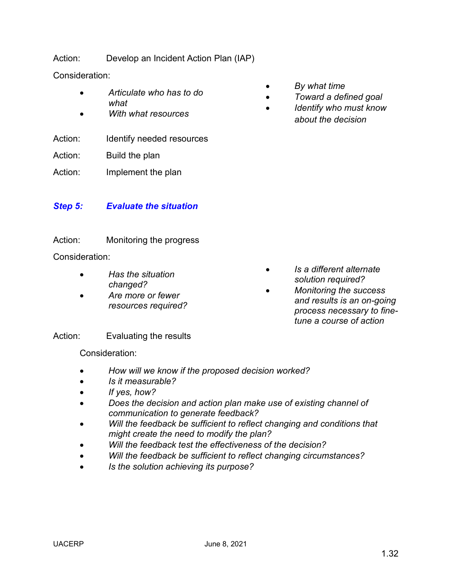Action: Develop an Incident Action Plan (IAP)

Consideration:

- *Articulate who has to do what*
- *With what resources*

Action: Identify needed resources

Action: Build the plan

Action: Implement the plan

### *Step 5: Evaluate the situation*

### Action: Monitoring the progress

Consideration:

- *Has the situation changed?*
- *Are more or fewer resources required?*
- *By what time*
	- *Toward a defined goal*
	- *Identify who must know about the decision*

- *Is a different alternate solution required?*
	- *Monitoring the success and results is an on-going process necessary to finetune a course of action*

Action: Evaluating the results

Consideration:

- *How will we know if the proposed decision worked?*
- *Is it measurable?*
- *If yes, how?*
- *Does the decision and action plan make use of existing channel of communication to generate feedback?*
- *Will the feedback be sufficient to reflect changing and conditions that might create the need to modify the plan?*
- *Will the feedback test the effectiveness of the decision?*
- *Will the feedback be sufficient to reflect changing circumstances?*
- *Is the solution achieving its purpose?*